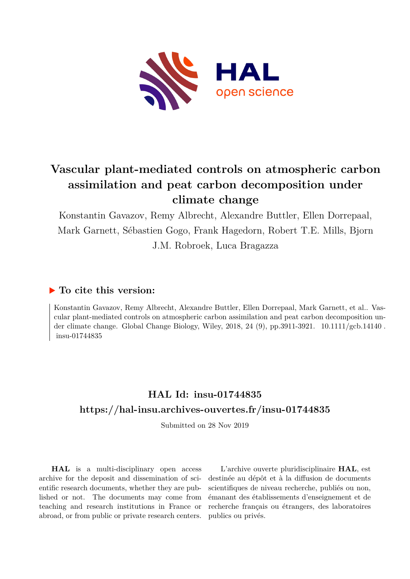

# **Vascular plant-mediated controls on atmospheric carbon assimilation and peat carbon decomposition under climate change**

Konstantin Gavazov, Remy Albrecht, Alexandre Buttler, Ellen Dorrepaal, Mark Garnett, Sébastien Gogo, Frank Hagedorn, Robert T.E. Mills, Bjorn J.M. Robroek, Luca Bragazza

## **To cite this version:**

Konstantin Gavazov, Remy Albrecht, Alexandre Buttler, Ellen Dorrepaal, Mark Garnett, et al.. Vascular plant-mediated controls on atmospheric carbon assimilation and peat carbon decomposition under climate change. Global Change Biology, Wiley, 2018, 24 (9), pp.3911-3921.  $10.1111/gcb.14140$ . insu-01744835

## **HAL Id: insu-01744835 <https://hal-insu.archives-ouvertes.fr/insu-01744835>**

Submitted on 28 Nov 2019

**HAL** is a multi-disciplinary open access archive for the deposit and dissemination of scientific research documents, whether they are published or not. The documents may come from teaching and research institutions in France or abroad, or from public or private research centers.

L'archive ouverte pluridisciplinaire **HAL**, est destinée au dépôt et à la diffusion de documents scientifiques de niveau recherche, publiés ou non, émanant des établissements d'enseignement et de recherche français ou étrangers, des laboratoires publics ou privés.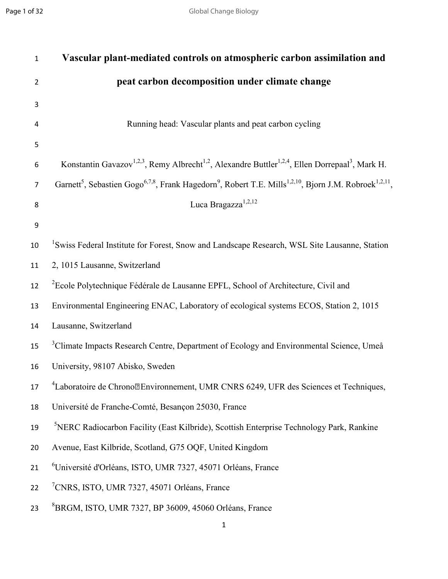| $\mathbf 1$    | Vascular plant-mediated controls on atmospheric carbon assimilation and                                                                                             |
|----------------|---------------------------------------------------------------------------------------------------------------------------------------------------------------------|
| $\overline{2}$ | peat carbon decomposition under climate change                                                                                                                      |
| 3              |                                                                                                                                                                     |
| 4              | Running head: Vascular plants and peat carbon cycling                                                                                                               |
| 5              |                                                                                                                                                                     |
| 6              | Konstantin Gavazov <sup>1,2,3</sup> , Remy Albrecht <sup>1,2</sup> , Alexandre Buttler <sup>1,2,4</sup> , Ellen Dorrepaal <sup>3</sup> , Mark H.                    |
| $\overline{7}$ | Garnett <sup>5</sup> , Sebastien Gogo <sup>6,7,8</sup> , Frank Hagedorn <sup>9</sup> , Robert T.E. Mills <sup>1,2,10</sup> , Bjorn J.M. Robroek <sup>1,2,11</sup> , |
| 8              | Luca Bragazza <sup>1,2,12</sup>                                                                                                                                     |
| $9\,$          |                                                                                                                                                                     |
| 10             | <sup>1</sup> Swiss Federal Institute for Forest, Snow and Landscape Research, WSL Site Lausanne, Station                                                            |
| 11             | 2, 1015 Lausanne, Switzerland                                                                                                                                       |
| 12             | <sup>2</sup> Ecole Polytechnique Fédérale de Lausanne EPFL, School of Architecture, Civil and                                                                       |
| 13             | Environmental Engineering ENAC, Laboratory of ecological systems ECOS, Station 2, 1015                                                                              |
| 14             | Lausanne, Switzerland                                                                                                                                               |
| 15             | <sup>3</sup> Climate Impacts Research Centre, Department of Ecology and Environmental Science, Umeå                                                                 |
| 16             | University, 98107 Abisko, Sweden                                                                                                                                    |
| 17             | <sup>4</sup> Laboratoire de Chrono Environnement, UMR CNRS 6249, UFR des Sciences et Techniques,                                                                    |
| 18             | Université de Franche-Comté, Besançon 25030, France                                                                                                                 |
| 19             | <sup>5</sup> NERC Radiocarbon Facility (East Kilbride), Scottish Enterprise Technology Park, Rankine                                                                |
| 20             | Avenue, East Kilbride, Scotland, G75 OQF, United Kingdom                                                                                                            |
| 21             | <sup>6</sup> Université d'Orléans, ISTO, UMR 7327, 45071 Orléans, France                                                                                            |
| 22             | <sup>7</sup> CNRS, ISTO, UMR 7327, 45071 Orléans, France                                                                                                            |
| 23             | <sup>8</sup> BRGM, ISTO, UMR 7327, BP 36009, 45060 Orléans, France                                                                                                  |
|                |                                                                                                                                                                     |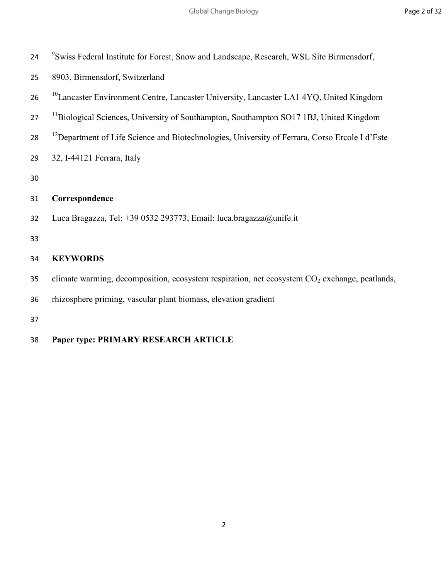<sup>9</sup>Swiss Federal Institute for Forest, Snow and Landscape, Research, WSL Site Birmensdorf,

8903, Birmensdorf, Switzerland

<sup>10</sup> Lancaster Environment Centre, Lancaster University, Lancaster LA1 4YQ, United Kingdom

<sup>11</sup> Biological Sciences, University of Southampton, Southampton SO17 1BJ, United Kingdom

28 <sup>12</sup> Department of Life Science and Biotechnologies, University of Ferrara, Corso Ercole I d'Este

32, I-44121 Ferrara, Italy

## **Correspondence**

Luca Bragazza, Tel: +39 0532 293773, Email: luca.bragazza@unife.it

## **KEYWORDS**

35 climate warming, decomposition, ecosystem respiration, net ecosystem  $CO<sub>2</sub>$  exchange, peatlands,

rhizosphere priming, vascular plant biomass, elevation gradient

## **Paper type: PRIMARY RESEARCH ARTICLE**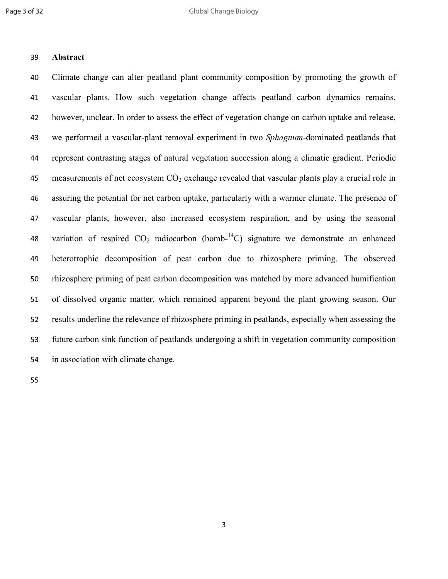#### **Abstract**

Climate change can alter peatland plant community composition by promoting the growth of vascular plants. How such vegetation change affects peatland carbon dynamics remains, however, unclear. In order to assess the effect of vegetation change on carbon uptake and release, we performed a vascular-plant removal experiment in two *Sphagnum*-dominated peatlands that represent contrasting stages of natural vegetation succession along a climatic gradient. Periodic 45 measurements of net ecosystem  $CO<sub>2</sub>$  exchange revealed that vascular plants play a crucial role in assuring the potential for net carbon uptake, particularly with a warmer climate. The presence of vascular plants, however, also increased ecosystem respiration, and by using the seasonal 48 variation of respired  $CO_2$  radiocarbon (bomb-<sup>14</sup>C) signature we demonstrate an enhanced heterotrophic decomposition of peat carbon due to rhizosphere priming. The observed rhizosphere priming of peat carbon decomposition was matched by more advanced humification of dissolved organic matter, which remained apparent beyond the plant growing season. Our results underline the relevance of rhizosphere priming in peatlands, especially when assessing the future carbon sink function of peatlands undergoing a shift in vegetation community composition in association with climate change.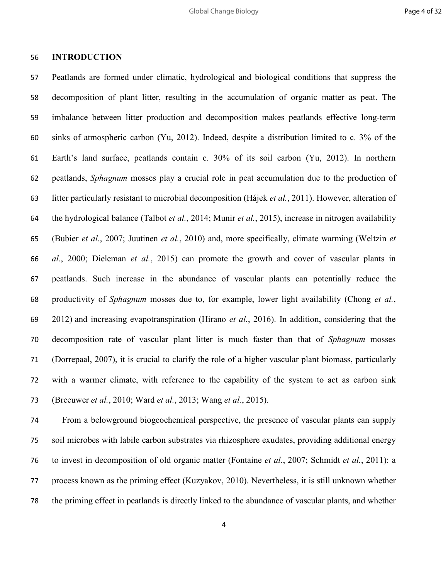#### **INTRODUCTION**

Peatlands are formed under climatic, hydrological and biological conditions that suppress the decomposition of plant litter, resulting in the accumulation of organic matter as peat. The imbalance between litter production and decomposition makes peatlands effective long-term sinks of atmospheric carbon (Yu, 2012). Indeed, despite a distribution limited to c. 3% of the Earth's land surface, peatlands contain c. 30% of its soil carbon (Yu, 2012). In northern peatlands, *Sphagnum* mosses play a crucial role in peat accumulation due to the production of litter particularly resistant to microbial decomposition (Hájek *et al.*, 2011). However, alteration of the hydrological balance (Talbot *et al.*, 2014; Munir *et al.*, 2015), increase in nitrogen availability (Bubier *et al.*, 2007; Juutinen *et al.*, 2010) and, more specifically, climate warming (Weltzin *et al.*, 2000; Dieleman *et al.*, 2015) can promote the growth and cover of vascular plants in peatlands. Such increase in the abundance of vascular plants can potentially reduce the productivity of *Sphagnum* mosses due to, for example, lower light availability (Chong *et al.*, 2012) and increasing evapotranspiration (Hirano *et al.*, 2016). In addition, considering that the decomposition rate of vascular plant litter is much faster than that of *Sphagnum* mosses (Dorrepaal, 2007), it is crucial to clarify the role of a higher vascular plant biomass, particularly with a warmer climate, with reference to the capability of the system to act as carbon sink (Breeuwer *et al.*, 2010; Ward *et al.*, 2013; Wang *et al.*, 2015).

From a belowground biogeochemical perspective, the presence of vascular plants can supply soil microbes with labile carbon substrates via rhizosphere exudates, providing additional energy to invest in decomposition of old organic matter (Fontaine *et al.*, 2007; Schmidt *et al.*, 2011): a process known as the priming effect (Kuzyakov, 2010). Nevertheless, it is still unknown whether the priming effect in peatlands is directly linked to the abundance of vascular plants, and whether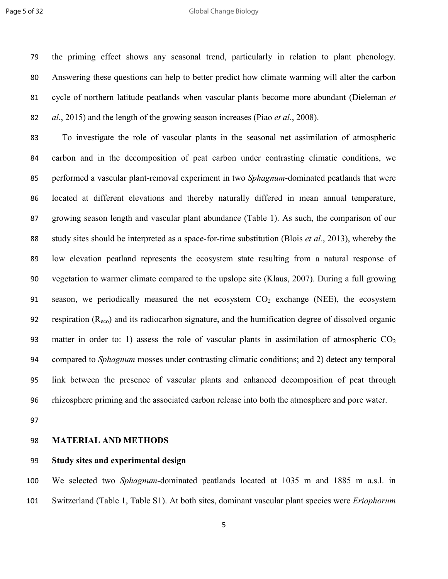#### Page 5 of 32 **Contract Contract Contract Contract Contract Contract Contract Contract Contract Contract Contract Contract Contract Contract Contract Contract Contract Contract Contract Contract Contract Contract Contract C**

the priming effect shows any seasonal trend, particularly in relation to plant phenology. Answering these questions can help to better predict how climate warming will alter the carbon cycle of northern latitude peatlands when vascular plants become more abundant (Dieleman *et al.*, 2015) and the length of the growing season increases (Piao *et al.*, 2008).

To investigate the role of vascular plants in the seasonal net assimilation of atmospheric carbon and in the decomposition of peat carbon under contrasting climatic conditions, we performed a vascular plant-removal experiment in two *Sphagnum*-dominated peatlands that were located at different elevations and thereby naturally differed in mean annual temperature, growing season length and vascular plant abundance (Table 1). As such, the comparison of our study sites should be interpreted as a space-for-time substitution (Blois *et al.*, 2013), whereby the low elevation peatland represents the ecosystem state resulting from a natural response of vegetation to warmer climate compared to the upslope site (Klaus, 2007). During a full growing 91 season, we periodically measured the net ecosystem  $CO<sub>2</sub>$  exchange (NEE), the ecosystem 92 respiration  $(R_{\text{eco}})$  and its radiocarbon signature, and the humification degree of dissolved organic 93 matter in order to: 1) assess the role of vascular plants in assimilation of atmospheric  $CO<sub>2</sub>$ compared to *Sphagnum* mosses under contrasting climatic conditions; and 2) detect any temporal link between the presence of vascular plants and enhanced decomposition of peat through rhizosphere priming and the associated carbon release into both the atmosphere and pore water.

#### **MATERIAL AND METHODS**

#### **Study sites and experimental design**

We selected two *Sphagnum*-dominated peatlands located at 1035 m and 1885 m a.s.l. in Switzerland (Table 1, Table S1). At both sites, dominant vascular plant species were *Eriophorum*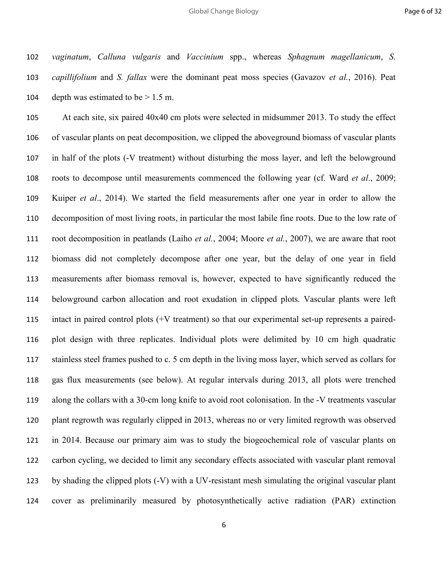*vaginatum*, *Calluna vulgaris* and *Vaccinium* spp., whereas *Sphagnum magellanicum*, *S. capillifolium* and *S. fallax* were the dominant peat moss species (Gavazov *et al.*, 2016). Peat 104 depth was estimated to be  $> 1.5$  m.

At each site, six paired 40x40 cm plots were selected in midsummer 2013. To study the effect of vascular plants on peat decomposition, we clipped the aboveground biomass of vascular plants in half of the plots (-V treatment) without disturbing the moss layer, and left the belowground roots to decompose until measurements commenced the following year (cf. Ward *et al*., 2009; Kuiper *et al*., 2014). We started the field measurements after one year in order to allow the decomposition of most living roots, in particular the most labile fine roots. Due to the low rate of root decomposition in peatlands (Laiho *et al.*, 2004; Moore *et al.*, 2007), we are aware that root biomass did not completely decompose after one year, but the delay of one year in field measurements after biomass removal is, however, expected to have significantly reduced the belowground carbon allocation and root exudation in clipped plots. Vascular plants were left intact in paired control plots (+V treatment) so that our experimental set-up represents a paired-plot design with three replicates. Individual plots were delimited by 10 cm high quadratic stainless steel frames pushed to c. 5 cm depth in the living moss layer, which served as collars for gas flux measurements (see below). At regular intervals during 2013, all plots were trenched along the collars with a 30-cm long knife to avoid root colonisation. In the -V treatments vascular plant regrowth was regularly clipped in 2013, whereas no or very limited regrowth was observed in 2014. Because our primary aim was to study the biogeochemical role of vascular plants on carbon cycling, we decided to limit any secondary effects associated with vascular plant removal by shading the clipped plots (-V) with a UV-resistant mesh simulating the original vascular plant cover as preliminarily measured by photosynthetically active radiation (PAR) extinction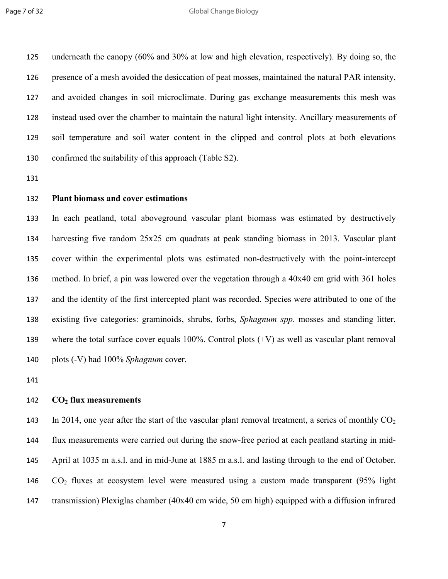underneath the canopy (60% and 30% at low and high elevation, respectively). By doing so, the presence of a mesh avoided the desiccation of peat mosses, maintained the natural PAR intensity, and avoided changes in soil microclimate. During gas exchange measurements this mesh was instead used over the chamber to maintain the natural light intensity. Ancillary measurements of soil temperature and soil water content in the clipped and control plots at both elevations confirmed the suitability of this approach (Table S2).

#### **Plant biomass and cover estimations**

In each peatland, total aboveground vascular plant biomass was estimated by destructively harvesting five random 25x25 cm quadrats at peak standing biomass in 2013. Vascular plant cover within the experimental plots was estimated non-destructively with the point-intercept method. In brief, a pin was lowered over the vegetation through a 40x40 cm grid with 361 holes and the identity of the first intercepted plant was recorded. Species were attributed to one of the existing five categories: graminoids, shrubs, forbs, *Sphagnum spp.* mosses and standing litter, where the total surface cover equals 100%. Control plots (+V) as well as vascular plant removal plots (-V) had 100% *Sphagnum* cover.

#### **CO2 flux measurements**

143 In 2014, one year after the start of the vascular plant removal treatment, a series of monthly  $CO<sub>2</sub>$ flux measurements were carried out during the snow-free period at each peatland starting in mid-April at 1035 m a.s.l. and in mid-June at 1885 m a.s.l. and lasting through to the end of October.  $CO<sub>2</sub>$  fluxes at ecosystem level were measured using a custom made transparent (95% light transmission) Plexiglas chamber (40x40 cm wide, 50 cm high) equipped with a diffusion infrared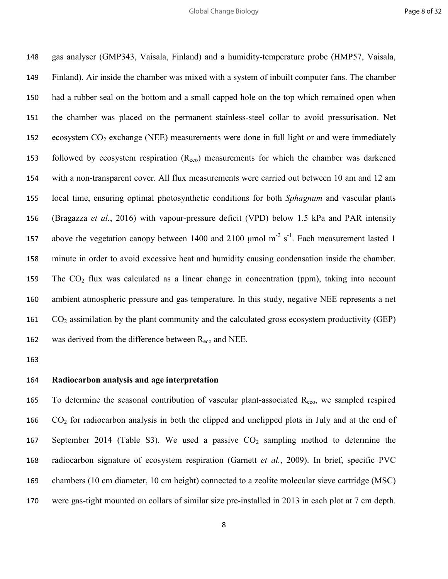gas analyser (GMP343, Vaisala, Finland) and a humidity-temperature probe (HMP57, Vaisala, Finland). Air inside the chamber was mixed with a system of inbuilt computer fans. The chamber had a rubber seal on the bottom and a small capped hole on the top which remained open when the chamber was placed on the permanent stainless-steel collar to avoid pressurisation. Net 152 ecosystem  $CO<sub>2</sub>$  exchange (NEE) measurements were done in full light or and were immediately 153 followed by ecosystem respiration  $(R_{\text{eco}})$  measurements for which the chamber was darkened with a non-transparent cover. All flux measurements were carried out between 10 am and 12 am local time, ensuring optimal photosynthetic conditions for both *Sphagnum* and vascular plants (Bragazza *et al.*, 2016) with vapour-pressure deficit (VPD) below 1.5 kPa and PAR intensity 157 above the vegetation canopy between 1400 and 2100  $\mu$ mol m<sup>-2</sup> s<sup>-1</sup>. Each measurement lasted 1 minute in order to avoid excessive heat and humidity causing condensation inside the chamber. 159 The  $CO<sub>2</sub>$  flux was calculated as a linear change in concentration (ppm), taking into account ambient atmospheric pressure and gas temperature. In this study, negative NEE represents a net  $CO<sub>2</sub>$  assimilation by the plant community and the calculated gross ecosystem productivity (GEP) 162 was derived from the difference between  $R_{\text{eco}}$  and NEE.

**Radiocarbon analysis and age interpretation** 

165 To determine the seasonal contribution of vascular plant-associated R<sub>eco</sub>, we sampled respired CO<sub>2</sub> for radiocarbon analysis in both the clipped and unclipped plots in July and at the end of 167 September 2014 (Table S3). We used a passive  $CO<sub>2</sub>$  sampling method to determine the radiocarbon signature of ecosystem respiration (Garnett *et al.*, 2009). In brief, specific PVC chambers (10 cm diameter, 10 cm height) connected to a zeolite molecular sieve cartridge (MSC) were gas-tight mounted on collars of similar size pre-installed in 2013 in each plot at 7 cm depth.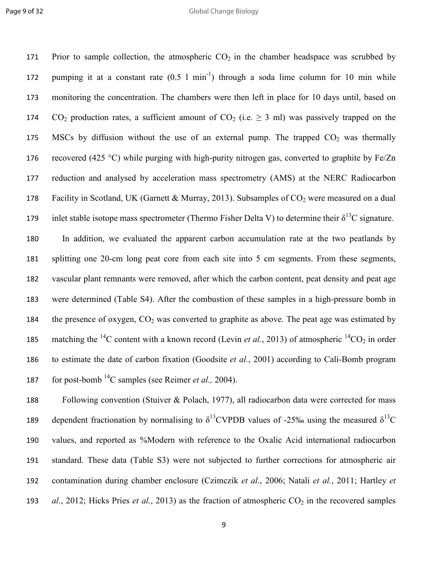171 Prior to sample collection, the atmospheric  $CO<sub>2</sub>$  in the chamber headspace was scrubbed by 172 pumping it at a constant rate  $(0.5 \text{ 1 min}^{-1})$  through a soda lime column for 10 min while 173 monitoring the concentration. The chambers were then left in place for 10 days until, based on 174 CO<sub>2</sub> production rates, a sufficient amount of CO<sub>2</sub> (i.e.  $\geq$  3 ml) was passively trapped on the 175 MSCs by diffusion without the use of an external pump. The trapped  $CO<sub>2</sub>$  was thermally 176 recovered (425 °C) while purging with high-purity nitrogen gas, converted to graphite by  $Fe/Zn$ 177 reduction and analysed by acceleration mass spectrometry (AMS) at the NERC Radiocarbon 178 Facility in Scotland, UK (Garnett & Murray, 2013). Subsamples of  $CO<sub>2</sub>$  were measured on a dual 179 inlet stable isotope mass spectrometer (Thermo Fisher Delta V) to determine their  $\delta^{13}C$  signature. 180 In addition, we evaluated the apparent carbon accumulation rate at the two peatlands by 181 splitting one 20-cm long peat core from each site into 5 cm segments. From these segments, 182 vascular plant remnants were removed, after which the carbon content, peat density and peat age 183 were determined (Table S4). After the combustion of these samples in a high-pressure bomb in 184 the presence of oxygen,  $CO<sub>2</sub>$  was converted to graphite as above. The peat age was estimated by 185 matching the <sup>14</sup>C content with a known record (Levin *et al.*, 2013) of atmospheric <sup>14</sup>CO<sub>2</sub> in order 186 to estimate the date of carbon fixation (Goodsite *et al.*, 2001) according to Cali-Bomb program 187 for post-bomb  $^{14}$ C samples (see Reimer *et al.*, 2004).

Following convention (Stuiver & Polach, 1977), all radiocarbon data were corrected for mass dependent fractionation by normalising to  $\delta^{13}$ CVPDB values of -25‰ using the measured  $\delta^{13}$ C values, and reported as %Modern with reference to the Oxalic Acid international radiocarbon standard. These data (Table S3) were not subjected to further corrections for atmospheric air contamination during chamber enclosure (Czimczik *et al.*, 2006; Natali *et al.*, 2011; Hartley *et al.*, 2012; Hicks Pries *et al.*, 2013) as the fraction of atmospheric  $CO_2$  in the recovered samples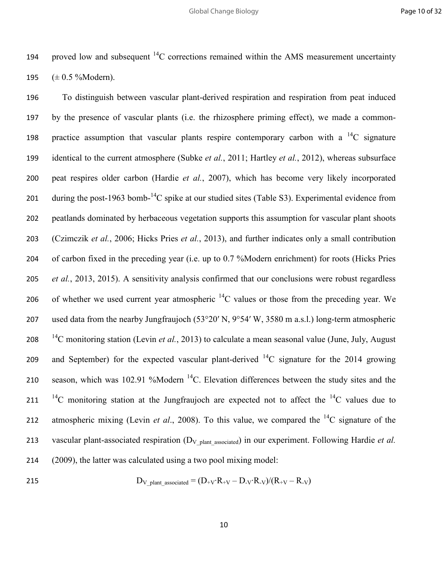194 proved low and subsequent  ${}^{14}C$  corrections remained within the AMS measurement uncertainty 195  $(\pm 0.5 \text{ %Modern}).$ 

196 To distinguish between vascular plant-derived respiration and respiration from peat induced 197 by the presence of vascular plants (i.e. the rhizosphere priming effect), we made a common-198 practice assumption that vascular plants respire contemporary carbon with a  $^{14}C$  signature 199 identical to the current atmosphere (Subke *et al.*, 2011; Hartley *et al.*, 2012), whereas subsurface 200 peat respires older carbon (Hardie *et al.*, 2007), which has become very likely incorporated 201 during the post-1963 bomb-<sup>14</sup>C spike at our studied sites (Table S3). Experimental evidence from 202 peatlands dominated by herbaceous vegetation supports this assumption for vascular plant shoots 203 (Czimczik *et al.*, 2006; Hicks Pries *et al.*, 2013), and further indicates only a small contribution 204 of carbon fixed in the preceding year (i.e. up to 0.7 %Modern enrichment) for roots (Hicks Pries 205 *et al.*, 2013, 2015). A sensitivity analysis confirmed that our conclusions were robust regardless 206 of whether we used current year atmospheric  ${}^{14}C$  values or those from the preceding year. We 207 used data from the nearby Jungfraujoch (53°20' N, 9°54' W, 3580 m a.s.l.) long-term atmospheric 208  $^{14}$ C monitoring station (Levin *et al.*, 2013) to calculate a mean seasonal value (June, July, August 209 and September) for the expected vascular plant-derived  $^{14}$ C signature for the 2014 growing 210 season, which was 102.91 %Modern  ${}^{14}C$ . Elevation differences between the study sites and the 211  $^{14}$ C monitoring station at the Jungfraujoch are expected not to affect the  $^{14}$ C values due to 212 atmospheric mixing (Levin *et al.*, 2008). To this value, we compared the <sup>14</sup>C signature of the 213 vascular plant-associated respiration (D<sub>V plant associated</sub>) in our experiment. Following Hardie *et al.* 214 (2009), the latter was calculated using a two pool mixing model:

215 
$$
D_{V\_plant\_associated} = (D_{+V} \cdot R_{+V} - D_{-V} \cdot R_{-V})/(R_{+V} - R_{-V})
$$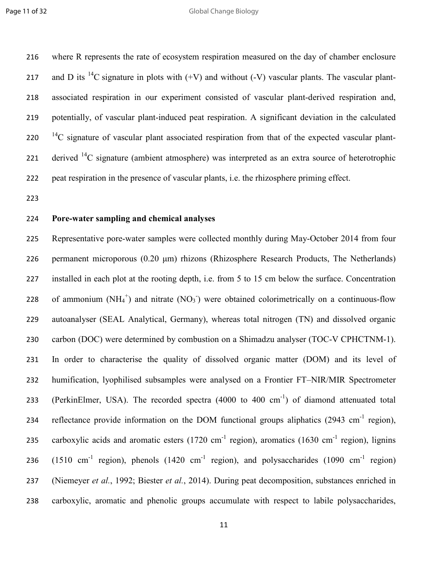where R represents the rate of ecosystem respiration measured on the day of chamber enclosure 217 and D its  ${}^{14}C$  signature in plots with (+V) and without (-V) vascular plants. The vascular plant-associated respiration in our experiment consisted of vascular plant-derived respiration and, potentially, of vascular plant-induced peat respiration. A significant deviation in the calculated <sup>14</sup>C signature of vascular plant associated respiration from that of the expected vascular plant-221 derived  $^{14}$ C signature (ambient atmosphere) was interpreted as an extra source of heterotrophic peat respiration in the presence of vascular plants, i.e. the rhizosphere priming effect.

#### **Pore-water sampling and chemical analyses**

Representative pore-water samples were collected monthly during May-October 2014 from four 226 permanent microporous (0.20 µm) rhizons (Rhizosphere Research Products, The Netherlands) installed in each plot at the rooting depth, i.e. from 5 to 15 cm below the surface. Concentration 228 of ammonium  $(NH_4^+)$  and nitrate  $(NO_3^-)$  were obtained colorimetrically on a continuous-flow autoanalyser (SEAL Analytical, Germany), whereas total nitrogen (TN) and dissolved organic carbon (DOC) were determined by combustion on a Shimadzu analyser (TOC-V CPHCTNM-1). In order to characterise the quality of dissolved organic matter (DOM) and its level of humification, lyophilised subsamples were analysed on a Frontier FT–NIR/MIR Spectrometer 233 (PerkinElmer, USA). The recorded spectra  $(4000 \text{ to } 400 \text{ cm}^{-1})$  of diamond attenuated total 234 reflectance provide information on the DOM functional groups aliphatics  $(2943 \text{ cm}^{-1} \text{ region})$ , 235 carboxylic acids and aromatic esters (1720 cm<sup>-1</sup> region), aromatics (1630 cm<sup>-1</sup> region), lignins 236 (1510 cm<sup>-1</sup> region), phenols (1420 cm<sup>-1</sup> region), and polysaccharides (1090 cm<sup>-1</sup> region) (Niemeyer *et al.*, 1992; Biester *et al.*, 2014). During peat decomposition, substances enriched in carboxylic, aromatic and phenolic groups accumulate with respect to labile polysaccharides,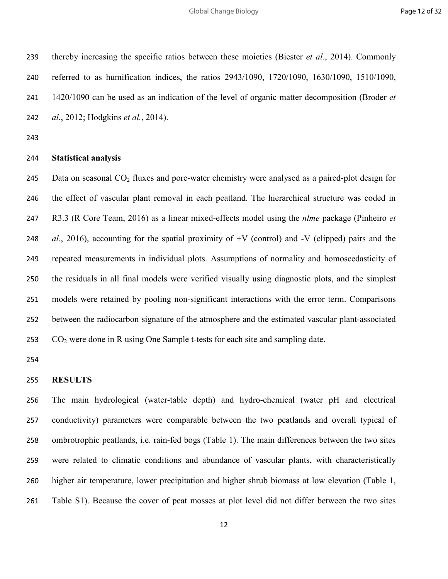thereby increasing the specific ratios between these moieties (Biester *et al.*, 2014). Commonly referred to as humification indices, the ratios 2943/1090, 1720/1090, 1630/1090, 1510/1090, 1420/1090 can be used as an indication of the level of organic matter decomposition (Broder *et al.*, 2012; Hodgkins *et al.*, 2014).

#### **Statistical analysis**

245 Data on seasonal  $CO<sub>2</sub>$  fluxes and pore-water chemistry were analysed as a paired-plot design for the effect of vascular plant removal in each peatland. The hierarchical structure was coded in R3.3 (R Core Team, 2016) as a linear mixed-effects model using the *nlme* package (Pinheiro *et al.*, 2016), accounting for the spatial proximity of +V (control) and -V (clipped) pairs and the repeated measurements in individual plots. Assumptions of normality and homoscedasticity of the residuals in all final models were verified visually using diagnostic plots, and the simplest models were retained by pooling non-significant interactions with the error term. Comparisons between the radiocarbon signature of the atmosphere and the estimated vascular plant-associated CO<sub>2</sub> were done in R using One Sample t-tests for each site and sampling date.

#### **RESULTS**

The main hydrological (water-table depth) and hydro-chemical (water pH and electrical conductivity) parameters were comparable between the two peatlands and overall typical of ombrotrophic peatlands, i.e. rain-fed bogs (Table 1). The main differences between the two sites were related to climatic conditions and abundance of vascular plants, with characteristically higher air temperature, lower precipitation and higher shrub biomass at low elevation (Table 1, Table S1). Because the cover of peat mosses at plot level did not differ between the two sites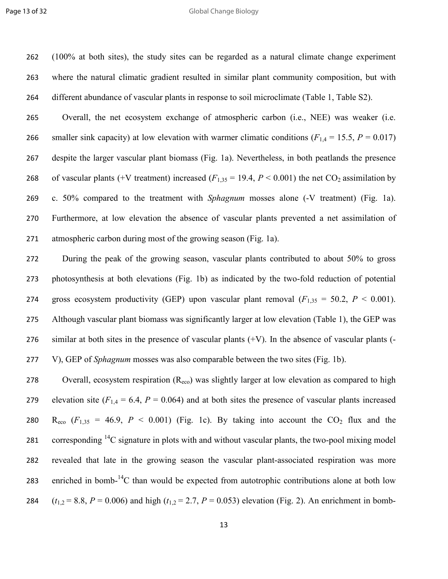#### Page 13 of 32 **Contract Contract Contract Contract Contract Contract Contract Contract Contract Contract Contract Contract Contract Contract Contract Contract Contract Contract Contract Contract Contract Contract Contract**

262 (100% at both sites), the study sites can be regarded as a natural climate change experiment 263 where the natural climatic gradient resulted in similar plant community composition, but with 264 different abundance of vascular plants in response to soil microclimate (Table 1, Table S2).

Overall, the net ecosystem exchange of atmospheric carbon (i.e., NEE) was weaker (i.e. 266 smaller sink capacity) at low elevation with warmer climatic conditions  $(F_{1,4} = 15.5, P = 0.017)$ despite the larger vascular plant biomass (Fig. 1a). Nevertheless, in both peatlands the presence 268 of vascular plants (+V treatment) increased ( $F_{1,35} = 19.4$ ,  $P < 0.001$ ) the net CO<sub>2</sub> assimilation by c. 50% compared to the treatment with *Sphagnum* mosses alone (-V treatment) (Fig. 1a). Furthermore, at low elevation the absence of vascular plants prevented a net assimilation of atmospheric carbon during most of the growing season (Fig. 1a).

During the peak of the growing season, vascular plants contributed to about 50% to gross photosynthesis at both elevations (Fig. 1b) as indicated by the two-fold reduction of potential 274 gross ecosystem productivity (GEP) upon vascular plant removal  $(F_{1,35} = 50.2, P < 0.001)$ . Although vascular plant biomass was significantly larger at low elevation (Table 1), the GEP was similar at both sites in the presence of vascular plants (+V). In the absence of vascular plants (- V), GEP of *Sphagnum* mosses was also comparable between the two sites (Fig. 1b).

278 Overall, ecosystem respiration  $(R_{\text{eco}})$  was slightly larger at low elevation as compared to high 279 elevation site  $(F_{1,4} = 6.4, P = 0.064)$  and at both sites the presence of vascular plants increased 280 R<sub>eco</sub>  $(F_{1,35} = 46.9, P < 0.001)$  (Fig. 1c). By taking into account the CO<sub>2</sub> flux and the 281 corresponding  ${}^{14}C$  signature in plots with and without vascular plants, the two-pool mixing model 282 revealed that late in the growing season the vascular plant-associated respiration was more 283 enriched in bomb- $^{14}$ C than would be expected from autotrophic contributions alone at both low 284  $(t_{1,2} = 8.8, P = 0.006)$  and high  $(t_{1,2} = 2.7, P = 0.053)$  elevation (Fig. 2). An enrichment in bomb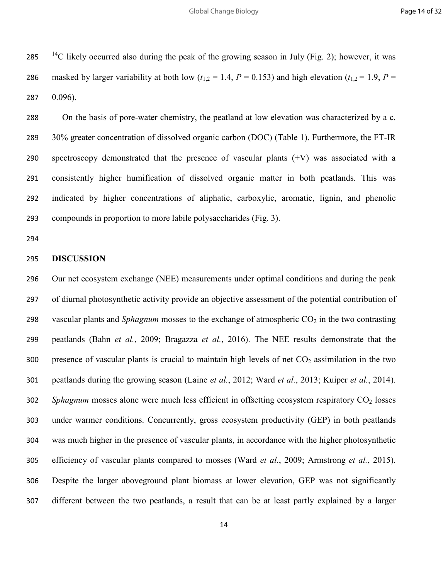285  $^{14}$ C likely occurred also during the peak of the growing season in July (Fig. 2); however, it was 286 masked by larger variability at both low  $(t_{1,2} = 1.4, P = 0.153)$  and high elevation  $(t_{1,2} = 1.9, P = 1.0)$ 0.096).

On the basis of pore-water chemistry, the peatland at low elevation was characterized by a c. 30% greater concentration of dissolved organic carbon (DOC) (Table 1). Furthermore, the FT-IR spectroscopy demonstrated that the presence of vascular plants (+V) was associated with a consistently higher humification of dissolved organic matter in both peatlands. This was indicated by higher concentrations of aliphatic, carboxylic, aromatic, lignin, and phenolic compounds in proportion to more labile polysaccharides (Fig. 3).

#### **DISCUSSION**

Our net ecosystem exchange (NEE) measurements under optimal conditions and during the peak of diurnal photosynthetic activity provide an objective assessment of the potential contribution of 298 vascular plants and *Sphagnum* mosses to the exchange of atmospheric CO<sub>2</sub> in the two contrasting peatlands (Bahn *et al.*, 2009; Bragazza *et al.*, 2016). The NEE results demonstrate that the 300 presence of vascular plants is crucial to maintain high levels of net  $CO<sub>2</sub>$  assimilation in the two peatlands during the growing season (Laine *et al.*, 2012; Ward *et al.*, 2013; Kuiper *et al.*, 2014). *Sphagnum* mosses alone were much less efficient in offsetting ecosystem respiratory CO<sub>2</sub> losses under warmer conditions. Concurrently, gross ecosystem productivity (GEP) in both peatlands was much higher in the presence of vascular plants, in accordance with the higher photosynthetic efficiency of vascular plants compared to mosses (Ward *et al.*, 2009; Armstrong *et al.*, 2015). Despite the larger aboveground plant biomass at lower elevation, GEP was not significantly different between the two peatlands, a result that can be at least partly explained by a larger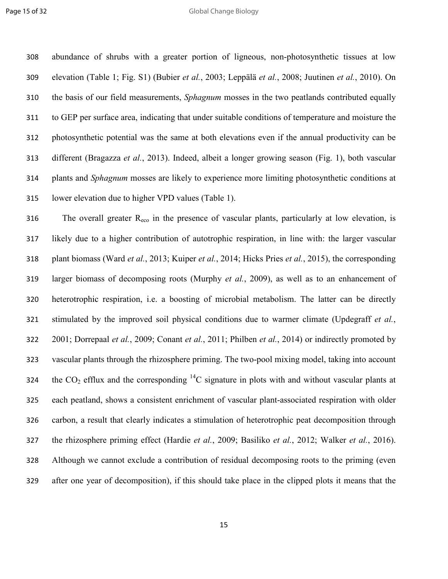#### Page 15 of 32 **Contract Contract Contract Contract Contract Contract Contract Contract Contract Contract Contract Contract Contract Contract Contract Contract Contract Contract Contract Contract Contract Contract Contract**

abundance of shrubs with a greater portion of ligneous, non-photosynthetic tissues at low elevation (Table 1; Fig. S1) (Bubier *et al.*, 2003; Leppälä *et al.*, 2008; Juutinen *et al.*, 2010). On the basis of our field measurements, *Sphagnum* mosses in the two peatlands contributed equally to GEP per surface area, indicating that under suitable conditions of temperature and moisture the photosynthetic potential was the same at both elevations even if the annual productivity can be different (Bragazza *et al.*, 2013). Indeed, albeit a longer growing season (Fig. 1), both vascular plants and *Sphagnum* mosses are likely to experience more limiting photosynthetic conditions at lower elevation due to higher VPD values (Table 1).

316 The overall greater  $R_{\text{eco}}$  in the presence of vascular plants, particularly at low elevation, is likely due to a higher contribution of autotrophic respiration, in line with: the larger vascular plant biomass (Ward *et al.*, 2013; Kuiper *et al.*, 2014; Hicks Pries *et al.*, 2015), the corresponding larger biomass of decomposing roots (Murphy *et al.*, 2009), as well as to an enhancement of heterotrophic respiration, i.e. a boosting of microbial metabolism. The latter can be directly stimulated by the improved soil physical conditions due to warmer climate (Updegraff *et al.*, 2001; Dorrepaal *et al.*, 2009; Conant *et al.*, 2011; Philben *et al.*, 2014) or indirectly promoted by vascular plants through the rhizosphere priming. The two-pool mixing model, taking into account 324 the  $CO_2$  efflux and the corresponding <sup>14</sup>C signature in plots with and without vascular plants at each peatland, shows a consistent enrichment of vascular plant-associated respiration with older carbon, a result that clearly indicates a stimulation of heterotrophic peat decomposition through the rhizosphere priming effect (Hardie *et al.*, 2009; Basiliko *et al.*, 2012; Walker *et al.*, 2016). Although we cannot exclude a contribution of residual decomposing roots to the priming (even after one year of decomposition), if this should take place in the clipped plots it means that the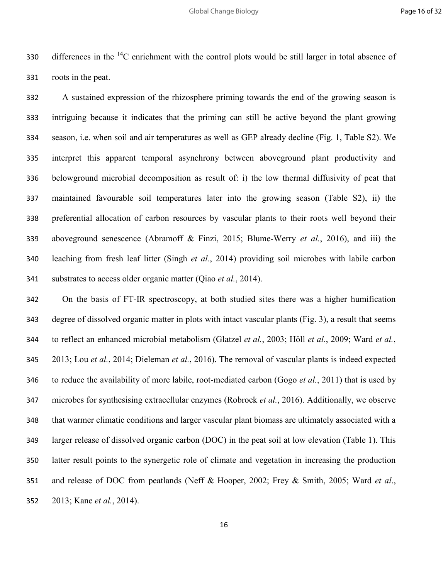330 differences in the  $^{14}$ C enrichment with the control plots would be still larger in total absence of roots in the peat.

A sustained expression of the rhizosphere priming towards the end of the growing season is intriguing because it indicates that the priming can still be active beyond the plant growing season, i.e. when soil and air temperatures as well as GEP already decline (Fig. 1, Table S2). We interpret this apparent temporal asynchrony between aboveground plant productivity and belowground microbial decomposition as result of: i) the low thermal diffusivity of peat that maintained favourable soil temperatures later into the growing season (Table S2), ii) the preferential allocation of carbon resources by vascular plants to their roots well beyond their aboveground senescence (Abramoff & Finzi, 2015; Blume-Werry *et al.*, 2016), and iii) the leaching from fresh leaf litter (Singh *et al.*, 2014) providing soil microbes with labile carbon substrates to access older organic matter (Qiao *et al.*, 2014).

On the basis of FT-IR spectroscopy, at both studied sites there was a higher humification degree of dissolved organic matter in plots with intact vascular plants (Fig. 3), a result that seems to reflect an enhanced microbial metabolism (Glatzel *et al.*, 2003; Höll *et al.*, 2009; Ward *et al.*, 2013; Lou *et al.*, 2014; Dieleman *et al.*, 2016). The removal of vascular plants is indeed expected to reduce the availability of more labile, root-mediated carbon (Gogo *et al.*, 2011) that is used by microbes for synthesising extracellular enzymes (Robroek *et al.*, 2016). Additionally, we observe that warmer climatic conditions and larger vascular plant biomass are ultimately associated with a larger release of dissolved organic carbon (DOC) in the peat soil at low elevation (Table 1). This latter result points to the synergetic role of climate and vegetation in increasing the production and release of DOC from peatlands (Neff & Hooper, 2002; Frey & Smith, 2005; Ward *et al*., 2013; Kane *et al.*, 2014).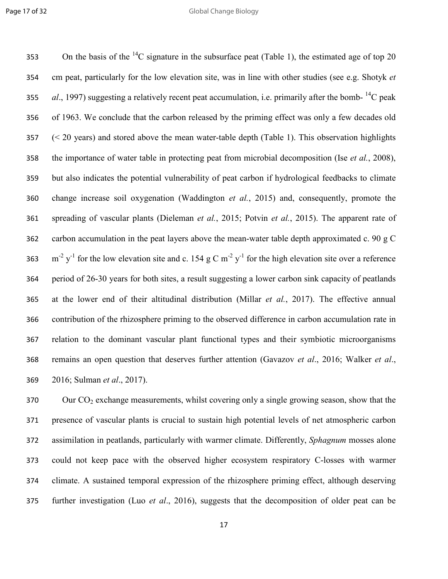353 C on the basis of the <sup>14</sup>C signature in the subsurface peat (Table 1), the estimated age of top 20 cm peat, particularly for the low elevation site, was in line with other studies (see e.g. Shotyk *et al.*, 1997) suggesting a relatively recent peat accumulation, i.e. primarily after the bomb- <sup>14</sup>C peak of 1963. We conclude that the carbon released by the priming effect was only a few decades old (< 20 years) and stored above the mean water-table depth (Table 1). This observation highlights the importance of water table in protecting peat from microbial decomposition (Ise *et al.*, 2008), but also indicates the potential vulnerability of peat carbon if hydrological feedbacks to climate change increase soil oxygenation (Waddington *et al.*, 2015) and, consequently, promote the spreading of vascular plants (Dieleman *et al.*, 2015; Potvin *et al.*, 2015). The apparent rate of carbon accumulation in the peat layers above the mean-water table depth approximated c. 90 g C  $\text{m}^2$  y<sup>-1</sup> for the low elevation site and c. 154 g C m<sup>-2</sup> y<sup>-1</sup> for the high elevation site over a reference period of 26-30 years for both sites, a result suggesting a lower carbon sink capacity of peatlands at the lower end of their altitudinal distribution (Millar *et al.*, 2017). The effective annual contribution of the rhizosphere priming to the observed difference in carbon accumulation rate in relation to the dominant vascular plant functional types and their symbiotic microorganisms remains an open question that deserves further attention (Gavazov *et al*., 2016; Walker *et al*., 2016; Sulman *et al*., 2017).

 Our  $CO<sub>2</sub>$  exchange measurements, whilst covering only a single growing season, show that the presence of vascular plants is crucial to sustain high potential levels of net atmospheric carbon assimilation in peatlands, particularly with warmer climate. Differently, *Sphagnum* mosses alone could not keep pace with the observed higher ecosystem respiratory C-losses with warmer climate. A sustained temporal expression of the rhizosphere priming effect, although deserving further investigation (Luo *et al*., 2016), suggests that the decomposition of older peat can be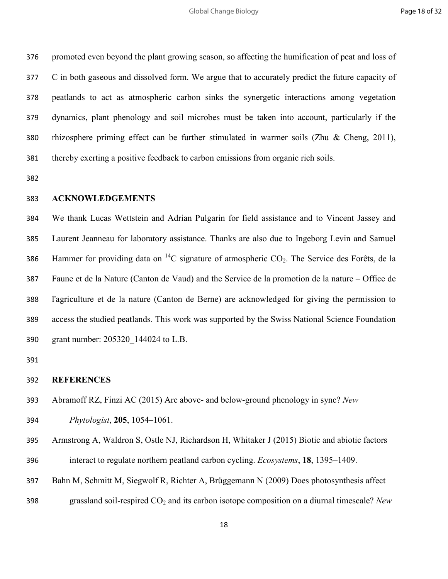promoted even beyond the plant growing season, so affecting the humification of peat and loss of C in both gaseous and dissolved form. We argue that to accurately predict the future capacity of peatlands to act as atmospheric carbon sinks the synergetic interactions among vegetation dynamics, plant phenology and soil microbes must be taken into account, particularly if the rhizosphere priming effect can be further stimulated in warmer soils (Zhu & Cheng, 2011), thereby exerting a positive feedback to carbon emissions from organic rich soils.

#### **ACKNOWLEDGEMENTS**

We thank Lucas Wettstein and Adrian Pulgarin for field assistance and to Vincent Jassey and Laurent Jeanneau for laboratory assistance. Thanks are also due to Ingeborg Levin and Samuel 386 Hammer for providing data on <sup>14</sup>C signature of atmospheric CO<sub>2</sub>. The Service des Forêts, de la Faune et de la Nature (Canton de Vaud) and the Service de la promotion de la nature – Office de l'agriculture et de la nature (Canton de Berne) are acknowledged for giving the permission to access the studied peatlands. This work was supported by the Swiss National Science Foundation grant number: 205320\_144024 to L.B.

#### **REFERENCES**

Abramoff RZ, Finzi AC (2015) Are above- and below-ground phenology in sync? *New* 

*Phytologist*, **205**, 1054–1061.

- Armstrong A, Waldron S, Ostle NJ, Richardson H, Whitaker J (2015) Biotic and abiotic factors interact to regulate northern peatland carbon cycling. *Ecosystems*, **18**, 1395–1409.
- Bahn M, Schmitt M, Siegwolf R, Richter A, Brüggemann N (2009) Does photosynthesis affect
- grassland soil-respired CO2 and its carbon isotope composition on a diurnal timescale? *New*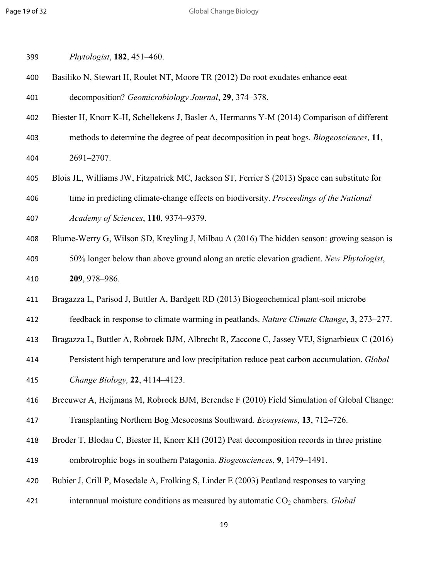| 399 | Phytologist, 182, 451-460.                                                                   |
|-----|----------------------------------------------------------------------------------------------|
| 400 | Basiliko N, Stewart H, Roulet NT, Moore TR (2012) Do root exudates enhance eeat              |
| 401 | decomposition? Geomicrobiology Journal, 29, 374–378.                                         |
| 402 | Biester H, Knorr K-H, Schellekens J, Basler A, Hermanns Y-M (2014) Comparison of different   |
| 403 | methods to determine the degree of peat decomposition in peat bogs. Biogeosciences, 11,      |
| 404 | 2691-2707.                                                                                   |
| 405 | Blois JL, Williams JW, Fitzpatrick MC, Jackson ST, Ferrier S (2013) Space can substitute for |
| 406 | time in predicting climate-change effects on biodiversity. Proceedings of the National       |
| 407 | Academy of Sciences, 110, 9374-9379.                                                         |
| 408 | Blume-Werry G, Wilson SD, Kreyling J, Milbau A (2016) The hidden season: growing season is   |
| 409 | 50% longer below than above ground along an arctic elevation gradient. New Phytologist,      |
| 410 | 209, 978-986.                                                                                |
| 411 | Bragazza L, Parisod J, Buttler A, Bardgett RD (2013) Biogeochemical plant-soil microbe       |
| 412 | feedback in response to climate warming in peatlands. Nature Climate Change, 3, 273–277.     |
| 413 | Bragazza L, Buttler A, Robroek BJM, Albrecht R, Zaccone C, Jassey VEJ, Signarbieux C (2016)  |
| 414 | Persistent high temperature and low precipitation reduce peat carbon accumulation. Global    |
| 415 | Change Biology, 22, 4114-4123.                                                               |
| 416 | Breeuwer A, Heijmans M, Robroek BJM, Berendse F (2010) Field Simulation of Global Change:    |
| 417 | Transplanting Northern Bog Mesocosms Southward. Ecosystems, 13, 712-726.                     |
| 418 | Broder T, Blodau C, Biester H, Knorr KH (2012) Peat decomposition records in three pristine  |
| 419 | ombrotrophic bogs in southern Patagonia. Biogeosciences, 9, 1479–1491.                       |
| 420 | Bubier J, Crill P, Mosedale A, Frolking S, Linder E (2003) Peatland responses to varying     |
| 421 | interannual moisture conditions as measured by automatic $CO2$ chambers. Global              |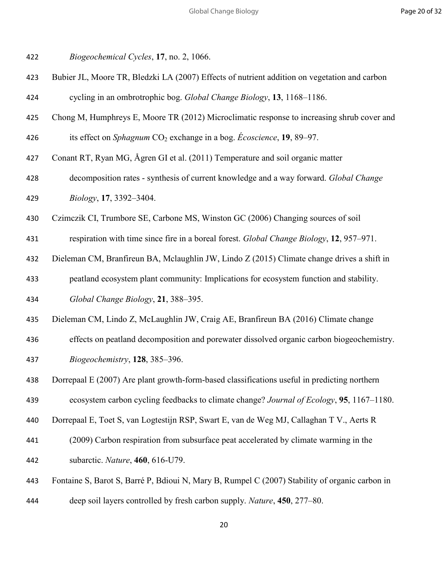- *Biogeochemical Cycles*, **17**, no. 2, 1066.
- Bubier JL, Moore TR, Bledzki LA (2007) Effects of nutrient addition on vegetation and carbon cycling in an ombrotrophic bog. *Global Change Biology*, **13**, 1168–1186.
- Chong M, Humphreys E, Moore TR (2012) Microclimatic response to increasing shrub cover and
- 426 its effect on *Sphagnum*  $CO_2$  exchange in a bog. *Écoscience*, **19**, 89–97.
- Conant RT, Ryan MG, Ågren GI et al. (2011) Temperature and soil organic matter
- decomposition rates synthesis of current knowledge and a way forward. *Global Change Biology*, **17**, 3392–3404.
- Czimczik CI, Trumbore SE, Carbone MS, Winston GC (2006) Changing sources of soil
- respiration with time since fire in a boreal forest. *Global Change Biology*, **12**, 957–971.
- Dieleman CM, Branfireun BA, Mclaughlin JW, Lindo Z (2015) Climate change drives a shift in
- peatland ecosystem plant community: Implications for ecosystem function and stability.
- *Global Change Biology*, **21**, 388–395.
- Dieleman CM, Lindo Z, McLaughlin JW, Craig AE, Branfireun BA (2016) Climate change
- effects on peatland decomposition and porewater dissolved organic carbon biogeochemistry.

*Biogeochemistry*, **128**, 385–396.

- Dorrepaal E (2007) Are plant growth-form-based classifications useful in predicting northern
- ecosystem carbon cycling feedbacks to climate change? *Journal of Ecology*, **95**, 1167–1180.
- Dorrepaal E, Toet S, van Logtestijn RSP, Swart E, van de Weg MJ, Callaghan T V., Aerts R
- (2009) Carbon respiration from subsurface peat accelerated by climate warming in the
- subarctic. *Nature*, **460**, 616-U79.
- Fontaine S, Barot S, Barré P, Bdioui N, Mary B, Rumpel C (2007) Stability of organic carbon in
- deep soil layers controlled by fresh carbon supply. *Nature*, **450**, 277–80.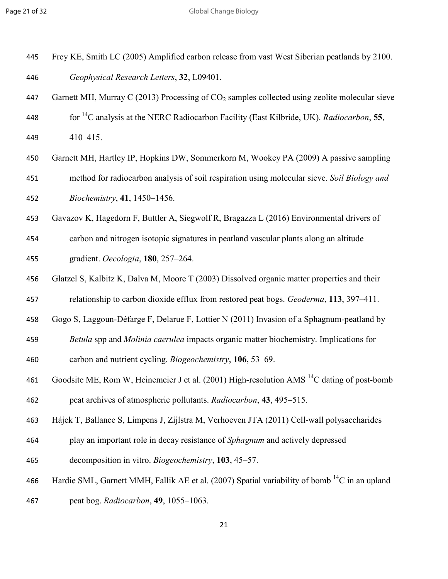| 445 | Frey KE, Smith LC (2005) Amplified carbon release from vast West Siberian peatlands by 2100.              |
|-----|-----------------------------------------------------------------------------------------------------------|
| 446 | Geophysical Research Letters, 32, L09401.                                                                 |
| 447 | Garnett MH, Murray C (2013) Processing of CO <sub>2</sub> samples collected using zeolite molecular sieve |
| 448 | for <sup>14</sup> C analysis at the NERC Radiocarbon Facility (East Kilbride, UK). Radiocarbon, 55,       |
| 449 | $410 - 415$ .                                                                                             |
| 450 | Garnett MH, Hartley IP, Hopkins DW, Sommerkorn M, Wookey PA (2009) A passive sampling                     |
| 451 | method for radiocarbon analysis of soil respiration using molecular sieve. Soil Biology and               |
| 452 | Biochemistry, 41, 1450-1456.                                                                              |
| 453 | Gavazov K, Hagedorn F, Buttler A, Siegwolf R, Bragazza L (2016) Environmental drivers of                  |
| 454 | carbon and nitrogen isotopic signatures in peatland vascular plants along an altitude                     |
| 455 | gradient. Oecologia, 180, 257-264.                                                                        |
| 456 | Glatzel S, Kalbitz K, Dalva M, Moore T (2003) Dissolved organic matter properties and their               |
| 457 | relationship to carbon dioxide efflux from restored peat bogs. <i>Geoderma</i> , 113, 397–411.            |
| 458 | Gogo S, Laggoun-Défarge F, Delarue F, Lottier N (2011) Invasion of a Sphagnum-peatland by                 |
| 459 | Betula spp and Molinia caerulea impacts organic matter biochemistry. Implications for                     |
| 460 | carbon and nutrient cycling. <i>Biogeochemistry</i> , 106, 53–69.                                         |
| 461 | Goodsite ME, Rom W, Heinemeier J et al. (2001) High-resolution AMS <sup>14</sup> C dating of post-bomb    |
| 462 | peat archives of atmospheric pollutants. Radiocarbon, 43, 495–515.                                        |
| 463 | Hájek T, Ballance S, Limpens J, Zijlstra M, Verhoeven JTA (2011) Cell-wall polysaccharides                |
| 464 | play an important role in decay resistance of <i>Sphagnum</i> and actively depressed                      |
| 465 | decomposition in vitro. <i>Biogeochemistry</i> , 103, 45–57.                                              |
| 466 | Hardie SML, Garnett MMH, Fallik AE et al. (2007) Spatial variability of bomb <sup>14</sup> C in an upland |
| 467 | peat bog. Radiocarbon, 49, 1055-1063.                                                                     |
|     |                                                                                                           |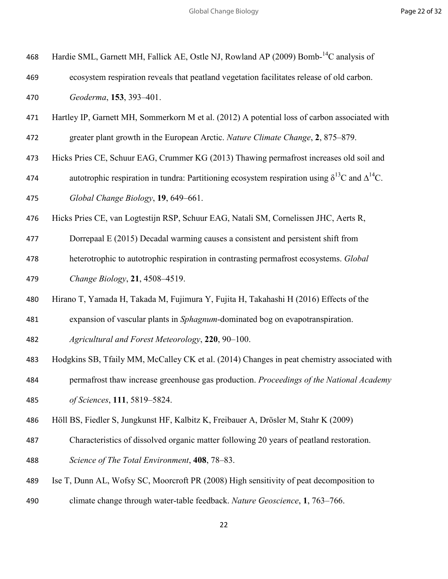| 468 | Hardie SML, Garnett MH, Fallick AE, Ostle NJ, Rowland AP (2009) Bomb- <sup>14</sup> C analysis of               |
|-----|-----------------------------------------------------------------------------------------------------------------|
| 469 | ecosystem respiration reveals that peatland vegetation facilitates release of old carbon.                       |
| 470 | Geoderma, 153, 393-401.                                                                                         |
| 471 | Hartley IP, Garnett MH, Sommerkorn M et al. (2012) A potential loss of carbon associated with                   |
| 472 | greater plant growth in the European Arctic. Nature Climate Change, 2, 875–879.                                 |
| 473 | Hicks Pries CE, Schuur EAG, Crummer KG (2013) Thawing permafrost increases old soil and                         |
| 474 | autotrophic respiration in tundra: Partitioning ecosystem respiration using $\delta^{13}C$ and $\Delta^{14}C$ . |
| 475 | Global Change Biology, 19, 649-661.                                                                             |
| 476 | Hicks Pries CE, van Logtestijn RSP, Schuur EAG, Natali SM, Cornelissen JHC, Aerts R,                            |
| 477 | Dorrepaal E (2015) Decadal warming causes a consistent and persistent shift from                                |
| 478 | heterotrophic to autotrophic respiration in contrasting permafrost ecosystems. Global                           |
| 479 | Change Biology, 21, 4508-4519.                                                                                  |
| 480 | Hirano T, Yamada H, Takada M, Fujimura Y, Fujita H, Takahashi H (2016) Effects of the                           |
| 481 | expansion of vascular plants in <i>Sphagnum</i> -dominated bog on evapotranspiration.                           |
| 482 | Agricultural and Forest Meteorology, 220, 90-100.                                                               |
| 483 | Hodgkins SB, Tfaily MM, McCalley CK et al. (2014) Changes in peat chemistry associated with                     |
| 484 | permafrost thaw increase greenhouse gas production. Proceedings of the National Academy                         |
| 485 | of Sciences, 111, 5819-5824.                                                                                    |
| 486 | Höll BS, Fiedler S, Jungkunst HF, Kalbitz K, Freibauer A, Drösler M, Stahr K (2009)                             |
| 487 | Characteristics of dissolved organic matter following 20 years of peatland restoration.                         |
| 488 | Science of The Total Environment, 408, 78-83.                                                                   |
| 489 | Ise T, Dunn AL, Wofsy SC, Moorcroft PR (2008) High sensitivity of peat decomposition to                         |
| 490 | climate change through water-table feedback. Nature Geoscience, 1, 763–766.                                     |
|     | つつ                                                                                                              |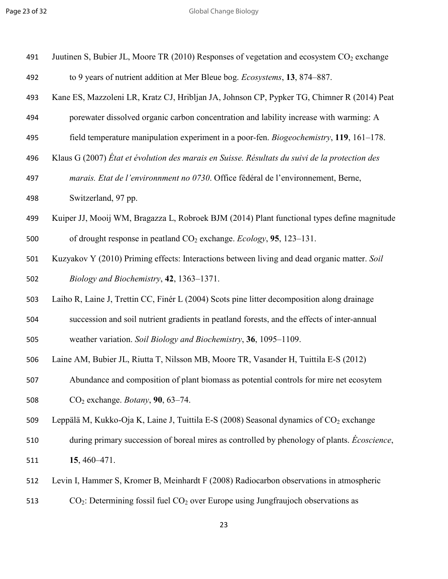| 491 | Juutinen S, Bubier JL, Moore TR (2010) Responses of vegetation and ecosystem CO <sub>2</sub> exchange |
|-----|-------------------------------------------------------------------------------------------------------|
| 492 | to 9 years of nutrient addition at Mer Bleue bog. <i>Ecosystems</i> , 13, 874–887.                    |
| 493 | Kane ES, Mazzoleni LR, Kratz CJ, Hribljan JA, Johnson CP, Pypker TG, Chimner R (2014) Peat            |
| 494 | porewater dissolved organic carbon concentration and lability increase with warming: A                |
| 495 | field temperature manipulation experiment in a poor-fen. Biogeochemistry, 119, 161-178.               |
| 496 | Klaus G (2007) État et évolution des marais en Suisse. Résultats du suivi de la protection des        |
| 497 | marais. Etat de l'environnment no 0730. Office fédéral de l'environnement, Berne,                     |
| 498 | Switzerland, 97 pp.                                                                                   |
| 499 | Kuiper JJ, Mooij WM, Bragazza L, Robroek BJM (2014) Plant functional types define magnitude           |
| 500 | of drought response in peatland $CO_2$ exchange. <i>Ecology</i> , <b>95</b> , 123–131.                |
| 501 | Kuzyakov Y (2010) Priming effects: Interactions between living and dead organic matter. Soil          |
| 502 | Biology and Biochemistry, 42, 1363-1371.                                                              |
| 503 | Laiho R, Laine J, Trettin CC, Finér L (2004) Scots pine litter decomposition along drainage           |
| 504 | succession and soil nutrient gradients in peatland forests, and the effects of inter-annual           |
| 505 | weather variation. Soil Biology and Biochemistry, 36, 1095-1109.                                      |
| 506 | Laine AM, Bubier JL, Riutta T, Nilsson MB, Moore TR, Vasander H, Tuittila E-S (2012)                  |
| 507 | Abundance and composition of plant biomass as potential controls for mire net ecosytem                |
| 508 | $CO2$ exchange. <i>Botany</i> , <b>90</b> , 63–74.                                                    |
| 509 | Leppälä M, Kukko-Oja K, Laine J, Tuittila E-S (2008) Seasonal dynamics of CO <sub>2</sub> exchange    |
| 510 | during primary succession of boreal mires as controlled by phenology of plants. <i>Ecoscience</i> ,   |
| 511 | 15, 460-471.                                                                                          |
| 512 | Levin I, Hammer S, Kromer B, Meinhardt F (2008) Radiocarbon observations in atmospheric               |
| 513 | $CO2$ : Determining fossil fuel $CO2$ over Europe using Jungfraujoch observations as                  |
|     |                                                                                                       |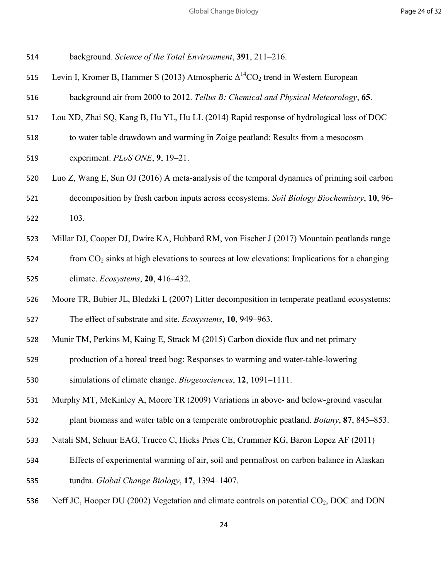| 514 |  |  |  |  | background. Science of the Total Environment, 391, 211-216. |
|-----|--|--|--|--|-------------------------------------------------------------|
|-----|--|--|--|--|-------------------------------------------------------------|

- 515 Levin I, Kromer B, Hammer S (2013) Atmospheric  $\Delta^{14}CO_2$  trend in Western European
- background air from 2000 to 2012. *Tellus B: Chemical and Physical Meteorology*, **65**.
- Lou XD, Zhai SQ, Kang B, Hu YL, Hu LL (2014) Rapid response of hydrological loss of DOC
- to water table drawdown and warming in Zoige peatland: Results from a mesocosm
- experiment. *PLoS ONE*, **9**, 19–21.
- Luo Z, Wang E, Sun OJ (2016) A meta-analysis of the temporal dynamics of priming soil carbon decomposition by fresh carbon inputs across ecosystems. *Soil Biology Biochemistry*, **10**, 96- 103.
- Millar DJ, Cooper DJ, Dwire KA, Hubbard RM, von Fischer J (2017) Mountain peatlands range
- from  $CO<sub>2</sub>$  sinks at high elevations to sources at low elevations: Implications for a changing climate. *Ecosystems*, **20**, 416–432.
- Moore TR, Bubier JL, Bledzki L (2007) Litter decomposition in temperate peatland ecosystems: The effect of substrate and site. *Ecosystems*, **10**, 949–963.
- Munir TM, Perkins M, Kaing E, Strack M (2015) Carbon dioxide flux and net primary
- production of a boreal treed bog: Responses to warming and water-table-lowering

simulations of climate change. *Biogeosciences*, **12**, 1091–1111.

- Murphy MT, McKinley A, Moore TR (2009) Variations in above- and below-ground vascular
- plant biomass and water table on a temperate ombrotrophic peatland. *Botany*, **87**, 845–853.
- Natali SM, Schuur EAG, Trucco C, Hicks Pries CE, Crummer KG, Baron Lopez AF (2011)
- Effects of experimental warming of air, soil and permafrost on carbon balance in Alaskan
- tundra. *Global Change Biology*, **17**, 1394–1407.
- 536 Neff JC, Hooper DU (2002) Vegetation and climate controls on potential CO<sub>2</sub>, DOC and DON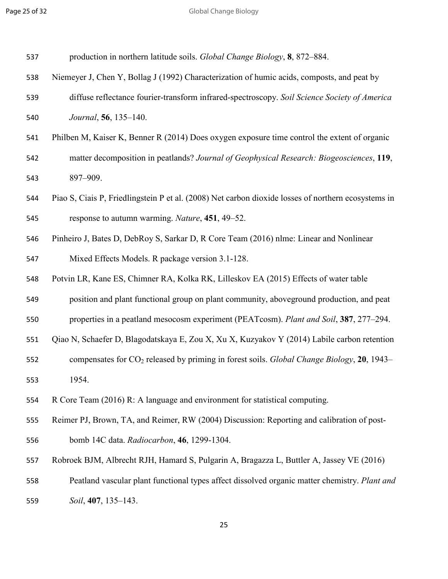| 537 | production in northern latitude soils. Global Change Biology, 8, 872–884.                             |
|-----|-------------------------------------------------------------------------------------------------------|
| 538 | Niemeyer J, Chen Y, Bollag J (1992) Characterization of humic acids, composts, and peat by            |
| 539 | diffuse reflectance fourier-transform infrared-spectroscopy. Soil Science Society of America          |
| 540 | Journal, 56, 135-140.                                                                                 |
| 541 | Philben M, Kaiser K, Benner R (2014) Does oxygen exposure time control the extent of organic          |
| 542 | matter decomposition in peatlands? Journal of Geophysical Research: Biogeosciences, 119,              |
| 543 | 897-909.                                                                                              |
| 544 | Piao S, Ciais P, Friedlingstein P et al. (2008) Net carbon dioxide losses of northern ecosystems in   |
| 545 | response to autumn warming. Nature, 451, 49–52.                                                       |
| 546 | Pinheiro J, Bates D, DebRoy S, Sarkar D, R Core Team (2016) nlme: Linear and Nonlinear                |
| 547 | Mixed Effects Models. R package version 3.1-128.                                                      |
| 548 | Potvin LR, Kane ES, Chimner RA, Kolka RK, Lilleskov EA (2015) Effects of water table                  |
| 549 | position and plant functional group on plant community, above ground production, and peat             |
| 550 | properties in a peatland mesocosm experiment (PEATcosm). Plant and Soil, 387, 277–294.                |
| 551 | Qiao N, Schaefer D, Blagodatskaya E, Zou X, Xu X, Kuzyakov Y (2014) Labile carbon retention           |
| 552 | compensates for CO <sub>2</sub> released by priming in forest soils. Global Change Biology, 20, 1943– |
| 553 | 1954.                                                                                                 |
| 554 | R Core Team (2016) R: A language and environment for statistical computing.                           |
| 555 | Reimer PJ, Brown, TA, and Reimer, RW (2004) Discussion: Reporting and calibration of post-            |
| 556 | bomb 14C data. Radiocarbon, 46, 1299-1304.                                                            |
| 557 | Robroek BJM, Albrecht RJH, Hamard S, Pulgarin A, Bragazza L, Buttler A, Jassey VE (2016)              |
| 558 | Peatland vascular plant functional types affect dissolved organic matter chemistry. Plant and         |
| 559 | Soil, 407, 135-143.                                                                                   |
|     |                                                                                                       |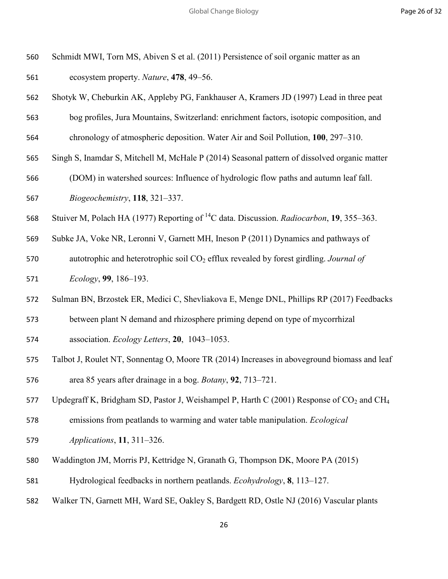- Schmidt MWI, Torn MS, Abiven S et al. (2011) Persistence of soil organic matter as an ecosystem property. *Nature*, **478**, 49–56.
- Shotyk W, Cheburkin AK, Appleby PG, Fankhauser A, Kramers JD (1997) Lead in three peat
- bog profiles, Jura Mountains, Switzerland: enrichment factors, isotopic composition, and
- chronology of atmospheric deposition. Water Air and Soil Pollution, **100**, 297–310.
- Singh S, Inamdar S, Mitchell M, McHale P (2014) Seasonal pattern of dissolved organic matter
- (DOM) in watershed sources: Influence of hydrologic flow paths and autumn leaf fall. *Biogeochemistry*, **118**, 321–337.
- 568 Stuiver M, Polach HA (1977) Reporting of <sup>14</sup>C data. Discussion. *Radiocarbon*, **19**, 355–363.
- Subke JA, Voke NR, Leronni V, Garnett MH, Ineson P (2011) Dynamics and pathways of
- autotrophic and heterotrophic soil CO2 efflux revealed by forest girdling. *Journal of Ecology*, **99**, 186–193.
- Sulman BN, Brzostek ER, Medici C, Shevliakova E, Menge DNL, Phillips RP (2017) Feedbacks
- between plant N demand and rhizosphere priming depend on type of mycorrhizal
- association. *Ecology Letters*, **20**, 1043–1053.
- Talbot J, Roulet NT, Sonnentag O, Moore TR (2014) Increases in aboveground biomass and leaf area 85 years after drainage in a bog. *Botany*, **92**, 713–721.
- 577 Updegraff K, Bridgham SD, Pastor J, Weishampel P, Harth C (2001) Response of  $CO<sub>2</sub>$  and CH<sub>4</sub>
- emissions from peatlands to warming and water table manipulation. *Ecological*
- *Applications*, **11**, 311–326.
- Waddington JM, Morris PJ, Kettridge N, Granath G, Thompson DK, Moore PA (2015)
- Hydrological feedbacks in northern peatlands. *Ecohydrology*, **8**, 113–127.
- Walker TN, Garnett MH, Ward SE, Oakley S, Bardgett RD, Ostle NJ (2016) Vascular plants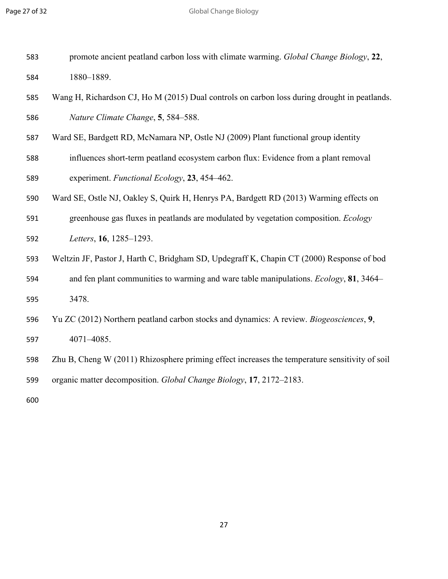| 583 | promote ancient peatland carbon loss with climate warming. Global Change Biology, 22,                 |
|-----|-------------------------------------------------------------------------------------------------------|
| 584 | 1880-1889.                                                                                            |
| 585 | Wang H, Richardson CJ, Ho M (2015) Dual controls on carbon loss during drought in peatlands.          |
| 586 | Nature Climate Change, 5, 584-588.                                                                    |
| 587 | Ward SE, Bardgett RD, McNamara NP, Ostle NJ (2009) Plant functional group identity                    |
| 588 | influences short-term peatland ecosystem carbon flux: Evidence from a plant removal                   |
| 589 | experiment. Functional Ecology, 23, 454-462.                                                          |
| 590 | Ward SE, Ostle NJ, Oakley S, Quirk H, Henrys PA, Bardgett RD (2013) Warming effects on                |
| 591 | greenhouse gas fluxes in peatlands are modulated by vegetation composition. <i>Ecology</i>            |
| 592 | Letters, 16, 1285-1293.                                                                               |
| 593 | Weltzin JF, Pastor J, Harth C, Bridgham SD, Updegraff K, Chapin CT (2000) Response of bod             |
| 594 | and fen plant communities to warming and ware table manipulations. <i>Ecology</i> , <b>81</b> , 3464– |
| 595 | 3478.                                                                                                 |
| 596 | Yu ZC (2012) Northern peatland carbon stocks and dynamics: A review. Biogeosciences, 9,               |
| 597 | 4071-4085.                                                                                            |
| 598 | Zhu B, Cheng W (2011) Rhizosphere priming effect increases the temperature sensitivity of soil        |
| 599 | organic matter decomposition. Global Change Biology, 17, 2172–2183.                                   |
| 600 |                                                                                                       |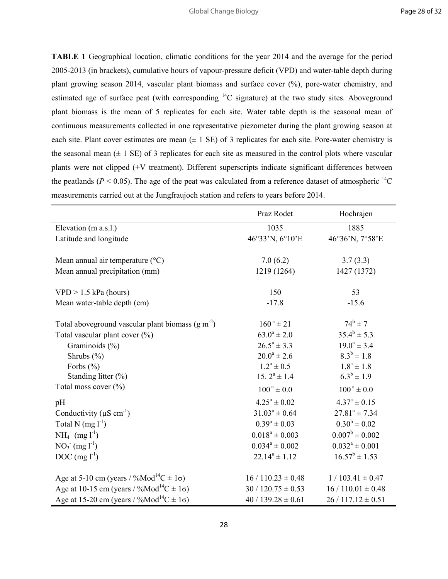**TABLE 1** Geographical location, climatic conditions for the year 2014 and the average for the period 2005-2013 (in brackets), cumulative hours of vapour-pressure deficit (VPD) and water-table depth during plant growing season 2014, vascular plant biomass and surface cover (%), pore-water chemistry, and estimated age of surface peat (with corresponding  ${}^{14}C$  signature) at the two study sites. Aboveground plant biomass is the mean of 5 replicates for each site. Water table depth is the seasonal mean of continuous measurements collected in one representative piezometer during the plant growing season at each site. Plant cover estimates are mean  $(± 1 SE)$  of 3 replicates for each site. Pore-water chemistry is the seasonal mean  $(\pm 1 \text{ SE})$  of 3 replicates for each site as measured in the control plots where vascular plants were not clipped (+V treatment). Different superscripts indicate significant differences between the peatlands ( $P < 0.05$ ). The age of the peat was calculated from a reference dataset of atmospheric <sup>14</sup>C measurements carried out at the Jungfraujoch station and refers to years before 2014.

|                                                                 | Praz Rodet                | Hochrajen                 |
|-----------------------------------------------------------------|---------------------------|---------------------------|
| Elevation (m a.s.l.)                                            | 1035                      | 1885                      |
| Latitude and longitude                                          | 46°33'N, 6°10'E           | 46°36'N, 7°58'E           |
|                                                                 |                           |                           |
| Mean annual air temperature $(^{\circ}C)$                       | 7.0(6.2)                  | 3.7(3.3)                  |
| Mean annual precipitation (mm)                                  | 1219 (1264)               | 1427 (1372)               |
|                                                                 |                           |                           |
| $VPD > 1.5$ kPa (hours)                                         | 150                       | 53                        |
| Mean water-table depth (cm)                                     | $-17.8$                   | $-15.6$                   |
| Total aboveground vascular plant biomass $(g m-2)$              | $160^a \pm 21$            | $74^{b} \pm 7$            |
| Total vascular plant cover (%)                                  | $63.0^a \pm 2.0$          | $35.4^b \pm 5.3$          |
| Graminoids (%)                                                  | $26.5^a \pm 3.3$          | $19.0^a \pm 3.4$          |
| Shrubs $(\%)$                                                   | $20.0^a \pm 2.6$          | $8.3^{b} \pm 1.8$         |
| Forbs $(\% )$                                                   | $1.2^a \pm 0.5$           | $1.8^a \pm 1.8$           |
| Standing litter $(\% )$                                         | 15. $2^a \pm 1.4$         | $6.3^b \pm 1.9$           |
| Total moss cover $(\% )$                                        | $100^{\text{ a}} \pm 0.0$ | $100^{\text{ a}} \pm 0.0$ |
|                                                                 |                           |                           |
| pH                                                              | $4.25^a \pm 0.02$         | $4.37^{\rm a} \pm 0.15$   |
| Conductivity ( $\mu$ S cm <sup>-1</sup> )                       | $31.03^a \pm 0.64$        | $27.81^a \pm 7.34$        |
| Total N $(mg l^{-1})$                                           | $0.39^a \pm 0.03$         | $0.30^b \pm 0.02$         |
| $NH_4^+$ (mg $l^{-1}$ )                                         | $0.018^a \pm 0.003$       | $0.007^b \pm 0.002$       |
| $NO_3$ <sup>-</sup> (mg l <sup>-1</sup> )                       | $0.034^a \pm 0.002$       | $0.032^a \pm 0.001$       |
| $DOC$ (mg $l^{-1}$ )                                            | $22.14^a \pm 1.12$        | $16.57^b \pm 1.53$        |
|                                                                 |                           |                           |
| Age at 5-10 cm (years / $\%Mod^{14}C \pm 1\sigma$ )             | $16/110.23 \pm 0.48$      | $1/103.41 \pm 0.47$       |
| Age at 10-15 cm (years / $\%Mod$ <sup>14</sup> C ± 1 $\sigma$ ) | $30/120.75 \pm 0.53$      | $16/110.01 \pm 0.48$      |
| Age at 15-20 cm (years / %Mod <sup>14</sup> C ± 1 $\sigma$ )    | $40/139.28 \pm 0.61$      | $26/117.12 \pm 0.51$      |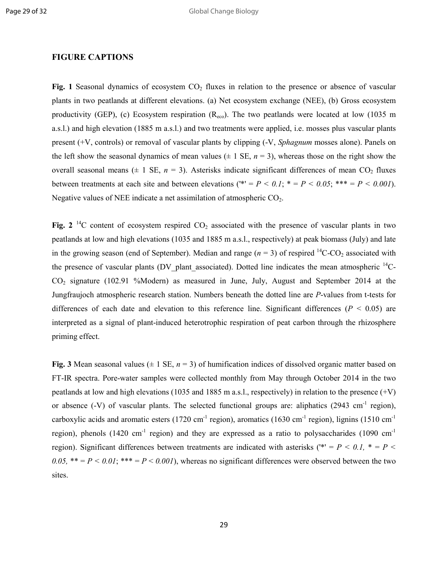#### **FIGURE CAPTIONS**

**Fig. 1** Seasonal dynamics of ecosystem  $CO<sub>2</sub>$  fluxes in relation to the presence or absence of vascular plants in two peatlands at different elevations. (a) Net ecosystem exchange (NEE), (b) Gross ecosystem productivity (GEP), (c) Ecosystem respiration  $(R_{\text{eco}})$ . The two peatlands were located at low (1035 m a.s.l.) and high elevation (1885 m a.s.l.) and two treatments were applied, i.e. mosses plus vascular plants present (+V, controls) or removal of vascular plants by clipping (-V, *Sphagnum* mosses alone). Panels on the left show the seasonal dynamics of mean values  $(\pm 1 \text{ SE}, n = 3)$ , whereas those on the right show the overall seasonal means ( $\pm$  1 SE,  $n = 3$ ). Asterisks indicate significant differences of mean CO<sub>2</sub> fluxes between treatments at each site and between elevations ( $* = P \lt 0.1$ ;  $* = P \lt 0.05$ ;  $*** = P \lt 0.001$ ). Negative values of NEE indicate a net assimilation of atmospheric  $CO<sub>2</sub>$ .

Fig. 2<sup>14</sup>C content of ecosystem respired  $CO_2$  associated with the presence of vascular plants in two peatlands at low and high elevations (1035 and 1885 m a.s.l., respectively) at peak biomass (July) and late in the growing season (end of September). Median and range  $(n = 3)$  of respired <sup>14</sup>C-CO<sub>2</sub> associated with the presence of vascular plants (DV plant associated). Dotted line indicates the mean atmospheric  $^{14}$ C-CO2 signature (102.91 %Modern) as measured in June, July, August and September 2014 at the Jungfraujoch atmospheric research station. Numbers beneath the dotted line are *P*-values from t-tests for differences of each date and elevation to this reference line. Significant differences ( $P < 0.05$ ) are interpreted as a signal of plant-induced heterotrophic respiration of peat carbon through the rhizosphere priming effect.

**Fig. 3** Mean seasonal values ( $\pm$  1 SE,  $n = 3$ ) of humification indices of dissolved organic matter based on FT-IR spectra. Pore-water samples were collected monthly from May through October 2014 in the two peatlands at low and high elevations (1035 and 1885 m a.s.l., respectively) in relation to the presence  $(+V)$ or absence  $(-V)$  of vascular plants. The selected functional groups are: aliphatics  $(2943 \text{ cm}^{-1} \text{ region})$ , carboxylic acids and aromatic esters (1720 cm<sup>-1</sup> region), aromatics (1630 cm<sup>-1</sup> region), lignins (1510 cm<sup>-1</sup> region), phenols (1420 cm<sup>-1</sup> region) and they are expressed as a ratio to polysaccharides (1090 cm<sup>-1</sup> region). Significant differences between treatments are indicated with asterisks ( $* = P < 0.1$ ,  $* = P < 0.1$  $0.05$ , \*\* =  $P < 0.01$ ; \*\*\* =  $P < 0.001$ ), whereas no significant differences were observed between the two sites.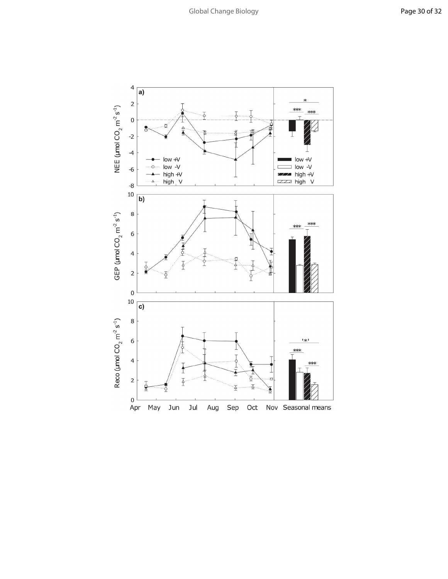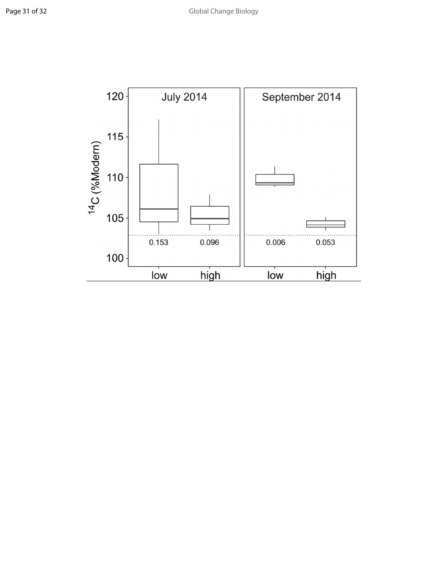